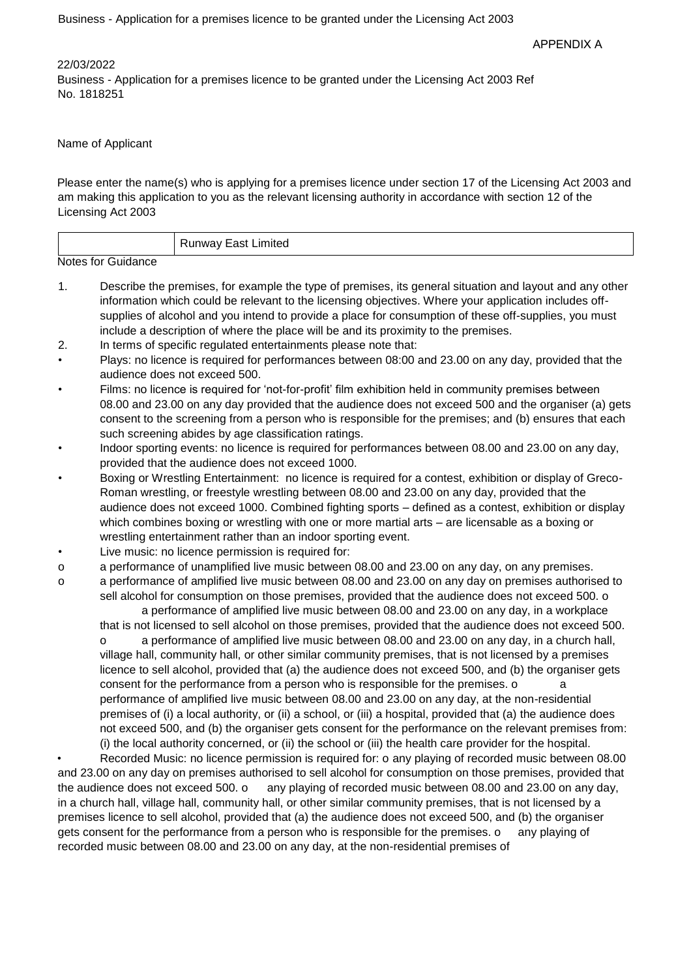Business - Application for a premises licence to be granted under the Licensing Act 2003

#### 22/03/2022

Business - Application for a premises licence to be granted under the Licensing Act 2003 Ref No. 1818251

#### Name of Applicant

Please enter the name(s) who is applying for a premises licence under section 17 of the Licensing Act 2003 and am making this application to you as the relevant licensing authority in accordance with section 12 of the Licensing Act 2003

| ' East Limited<br>.<br><b>IVALIVE</b> |  |
|---------------------------------------|--|
|---------------------------------------|--|

Notes for Guidance

- 1. Describe the premises, for example the type of premises, its general situation and layout and any other information which could be relevant to the licensing objectives. Where your application includes offsupplies of alcohol and you intend to provide a place for consumption of these off-supplies, you must include a description of where the place will be and its proximity to the premises.
- 2. In terms of specific regulated entertainments please note that:
- Plays: no licence is required for performances between 08:00 and 23.00 on any day, provided that the audience does not exceed 500.
- Films: no licence is required for 'not-for-profit' film exhibition held in community premises between 08.00 and 23.00 on any day provided that the audience does not exceed 500 and the organiser (a) gets consent to the screening from a person who is responsible for the premises; and (b) ensures that each such screening abides by age classification ratings.
- Indoor sporting events: no licence is required for performances between 08.00 and 23.00 on any day, provided that the audience does not exceed 1000.
- Boxing or Wrestling Entertainment: no licence is required for a contest, exhibition or display of Greco-Roman wrestling, or freestyle wrestling between 08.00 and 23.00 on any day, provided that the audience does not exceed 1000. Combined fighting sports – defined as a contest, exhibition or display which combines boxing or wrestling with one or more martial arts – are licensable as a boxing or wrestling entertainment rather than an indoor sporting event.
- Live music: no licence permission is required for:
- o a performance of unamplified live music between 08.00 and 23.00 on any day, on any premises.
- o a performance of amplified live music between 08.00 and 23.00 on any day on premises authorised to sell alcohol for consumption on those premises, provided that the audience does not exceed 500. o

a performance of amplified live music between 08.00 and 23.00 on any day, in a workplace that is not licensed to sell alcohol on those premises, provided that the audience does not exceed 500.

o a performance of amplified live music between 08.00 and 23.00 on any day, in a church hall, village hall, community hall, or other similar community premises, that is not licensed by a premises licence to sell alcohol, provided that (a) the audience does not exceed 500, and (b) the organiser gets consent for the performance from a person who is responsible for the premises. o a performance of amplified live music between 08.00 and 23.00 on any day, at the non-residential premises of (i) a local authority, or (ii) a school, or (iii) a hospital, provided that (a) the audience does not exceed 500, and (b) the organiser gets consent for the performance on the relevant premises from: (i) the local authority concerned, or (ii) the school or (iii) the health care provider for the hospital.

• Recorded Music: no licence permission is required for: o any playing of recorded music between 08.00 and 23.00 on any day on premises authorised to sell alcohol for consumption on those premises, provided that the audience does not exceed 500. o any playing of recorded music between 08.00 and 23.00 on any day, in a church hall, village hall, community hall, or other similar community premises, that is not licensed by a premises licence to sell alcohol, provided that (a) the audience does not exceed 500, and (b) the organiser gets consent for the performance from a person who is responsible for the premises. o any playing of recorded music between 08.00 and 23.00 on any day, at the non-residential premises of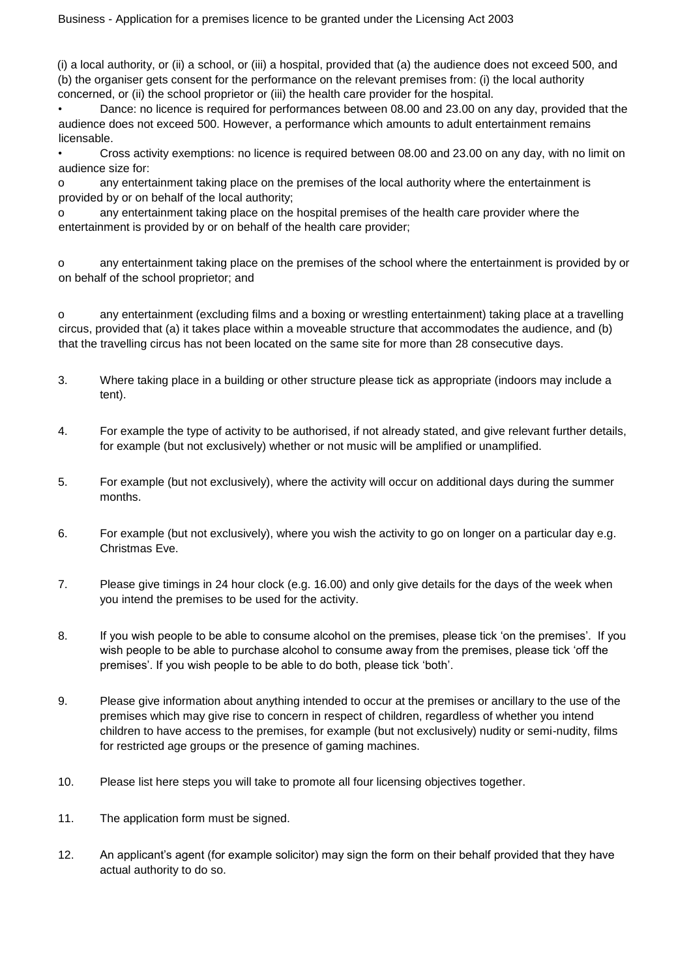(i) a local authority, or (ii) a school, or (iii) a hospital, provided that (a) the audience does not exceed 500, and (b) the organiser gets consent for the performance on the relevant premises from: (i) the local authority concerned, or (ii) the school proprietor or (iii) the health care provider for the hospital.

• Dance: no licence is required for performances between 08.00 and 23.00 on any day, provided that the audience does not exceed 500. However, a performance which amounts to adult entertainment remains licensable.

• Cross activity exemptions: no licence is required between 08.00 and 23.00 on any day, with no limit on audience size for:

o any entertainment taking place on the premises of the local authority where the entertainment is provided by or on behalf of the local authority;

o any entertainment taking place on the hospital premises of the health care provider where the entertainment is provided by or on behalf of the health care provider;

o any entertainment taking place on the premises of the school where the entertainment is provided by or on behalf of the school proprietor; and

o any entertainment (excluding films and a boxing or wrestling entertainment) taking place at a travelling circus, provided that (a) it takes place within a moveable structure that accommodates the audience, and (b) that the travelling circus has not been located on the same site for more than 28 consecutive days.

- 3. Where taking place in a building or other structure please tick as appropriate (indoors may include a tent).
- 4. For example the type of activity to be authorised, if not already stated, and give relevant further details, for example (but not exclusively) whether or not music will be amplified or unamplified.
- 5. For example (but not exclusively), where the activity will occur on additional days during the summer months.
- 6. For example (but not exclusively), where you wish the activity to go on longer on a particular day e.g. Christmas Eve.
- 7. Please give timings in 24 hour clock (e.g. 16.00) and only give details for the days of the week when you intend the premises to be used for the activity.
- 8. If you wish people to be able to consume alcohol on the premises, please tick 'on the premises'. If you wish people to be able to purchase alcohol to consume away from the premises, please tick 'off the premises'. If you wish people to be able to do both, please tick 'both'.
- 9. Please give information about anything intended to occur at the premises or ancillary to the use of the premises which may give rise to concern in respect of children, regardless of whether you intend children to have access to the premises, for example (but not exclusively) nudity or semi-nudity, films for restricted age groups or the presence of gaming machines.
- 10. Please list here steps you will take to promote all four licensing objectives together.
- 11. The application form must be signed.
- 12. An applicant's agent (for example solicitor) may sign the form on their behalf provided that they have actual authority to do so.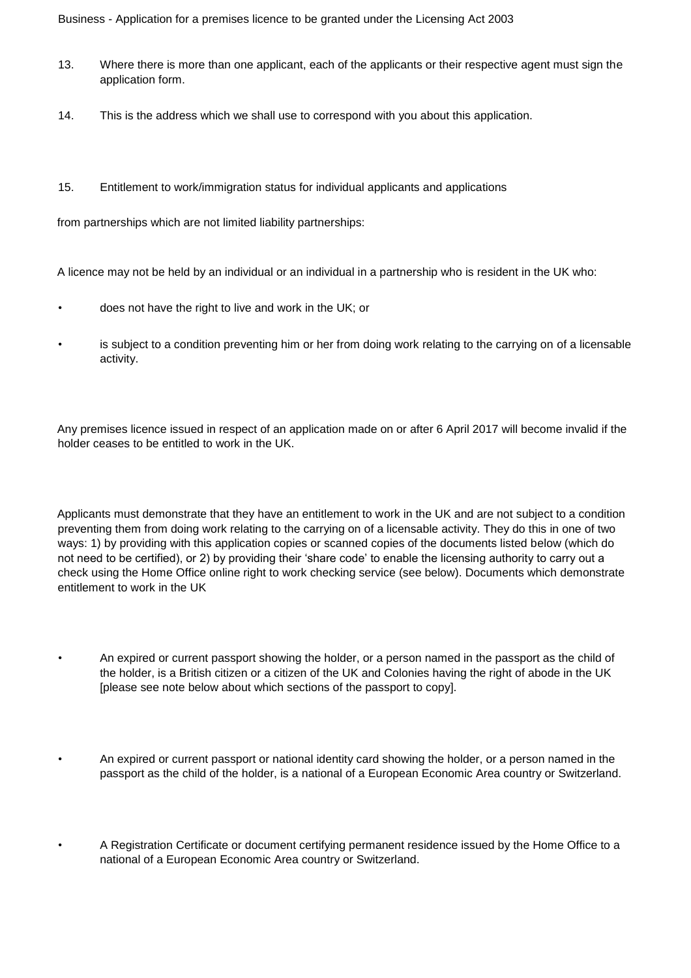- 13. Where there is more than one applicant, each of the applicants or their respective agent must sign the application form.
- 14. This is the address which we shall use to correspond with you about this application.
- 15. Entitlement to work/immigration status for individual applicants and applications

from partnerships which are not limited liability partnerships:

A licence may not be held by an individual or an individual in a partnership who is resident in the UK who:

- does not have the right to live and work in the UK; or
- is subject to a condition preventing him or her from doing work relating to the carrying on of a licensable activity.

Any premises licence issued in respect of an application made on or after 6 April 2017 will become invalid if the holder ceases to be entitled to work in the UK.

Applicants must demonstrate that they have an entitlement to work in the UK and are not subject to a condition preventing them from doing work relating to the carrying on of a licensable activity. They do this in one of two ways: 1) by providing with this application copies or scanned copies of the documents listed below (which do not need to be certified), or 2) by providing their 'share code' to enable the licensing authority to carry out a check using the Home Office online right to work checking service (see below). Documents which demonstrate entitlement to work in the UK

- An expired or current passport showing the holder, or a person named in the passport as the child of the holder, is a British citizen or a citizen of the UK and Colonies having the right of abode in the UK [please see note below about which sections of the passport to copy].
- An expired or current passport or national identity card showing the holder, or a person named in the passport as the child of the holder, is a national of a European Economic Area country or Switzerland.
- A Registration Certificate or document certifying permanent residence issued by the Home Office to a national of a European Economic Area country or Switzerland.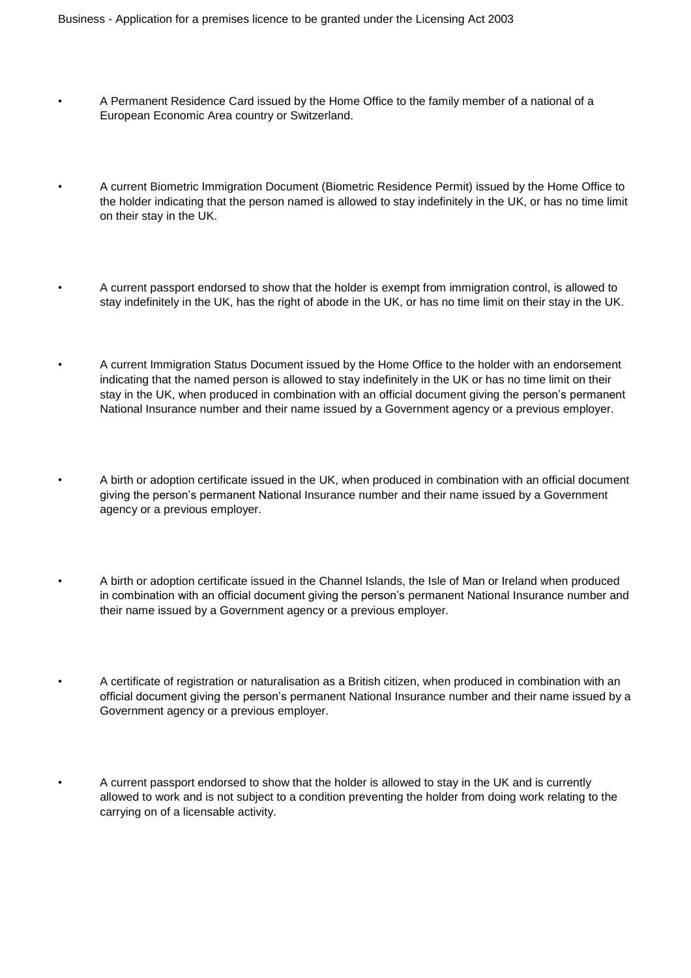- A Permanent Residence Card issued by the Home Office to the family member of a national of a European Economic Area country or Switzerland.
- A current Biometric Immigration Document (Biometric Residence Permit) issued by the Home Office to the holder indicating that the person named is allowed to stay indefinitely in the UK, or has no time limit on their stay in the UK.
- A current passport endorsed to show that the holder is exempt from immigration control, is allowed to stay indefinitely in the UK, has the right of abode in the UK, or has no time limit on their stay in the UK.
- A current Immigration Status Document issued by the Home Office to the holder with an endorsement indicating that the named person is allowed to stay indefinitely in the UK or has no time limit on their stay in the UK, when produced in combination with an official document giving the person's permanent National Insurance number and their name issued by a Government agency or a previous employer.
- A birth or adoption certificate issued in the UK, when produced in combination with an official document giving the person's permanent National Insurance number and their name issued by a Government agency or a previous employer.
- A birth or adoption certificate issued in the Channel Islands, the Isle of Man or Ireland when produced in combination with an official document giving the person's permanent National Insurance number and their name issued by a Government agency or a previous employer.
- A certificate of registration or naturalisation as a British citizen, when produced in combination with an official document giving the person's permanent National Insurance number and their name issued by a Government agency or a previous employer.
- A current passport endorsed to show that the holder is allowed to stay in the UK and is currently allowed to work and is not subject to a condition preventing the holder from doing work relating to the carrying on of a licensable activity.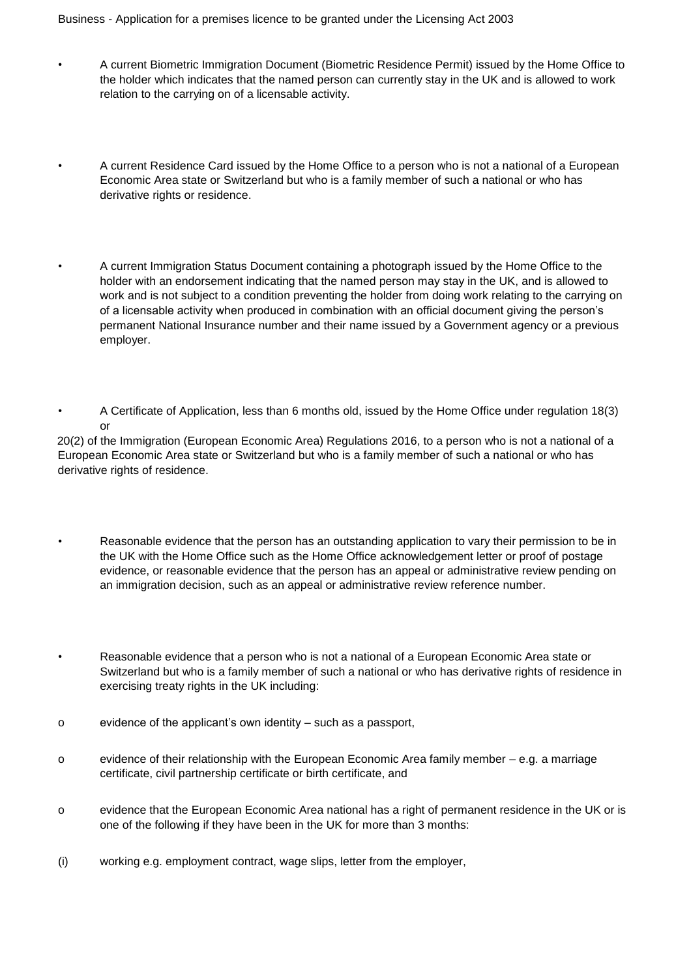- A current Biometric Immigration Document (Biometric Residence Permit) issued by the Home Office to the holder which indicates that the named person can currently stay in the UK and is allowed to work relation to the carrying on of a licensable activity.
- A current Residence Card issued by the Home Office to a person who is not a national of a European Economic Area state or Switzerland but who is a family member of such a national or who has derivative rights or residence.
- A current Immigration Status Document containing a photograph issued by the Home Office to the holder with an endorsement indicating that the named person may stay in the UK, and is allowed to work and is not subject to a condition preventing the holder from doing work relating to the carrying on of a licensable activity when produced in combination with an official document giving the person's permanent National Insurance number and their name issued by a Government agency or a previous employer.
- A Certificate of Application, less than 6 months old, issued by the Home Office under regulation 18(3) or

20(2) of the Immigration (European Economic Area) Regulations 2016, to a person who is not a national of a European Economic Area state or Switzerland but who is a family member of such a national or who has derivative rights of residence.

- Reasonable evidence that the person has an outstanding application to vary their permission to be in the UK with the Home Office such as the Home Office acknowledgement letter or proof of postage evidence, or reasonable evidence that the person has an appeal or administrative review pending on an immigration decision, such as an appeal or administrative review reference number.
- Reasonable evidence that a person who is not a national of a European Economic Area state or Switzerland but who is a family member of such a national or who has derivative rights of residence in exercising treaty rights in the UK including:
- o evidence of the applicant's own identity such as a passport,
- o evidence of their relationship with the European Economic Area family member e.g. a marriage certificate, civil partnership certificate or birth certificate, and
- o evidence that the European Economic Area national has a right of permanent residence in the UK or is one of the following if they have been in the UK for more than 3 months:
- (i) working e.g. employment contract, wage slips, letter from the employer,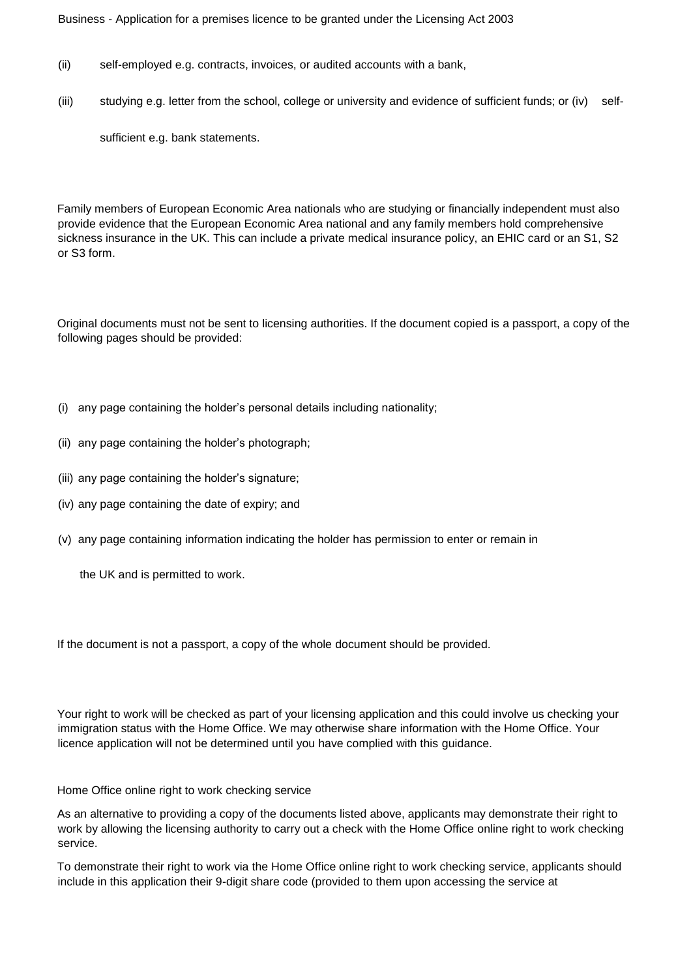Business - Application for a premises licence to be granted under the Licensing Act 2003

- (ii) self-employed e.g. contracts, invoices, or audited accounts with a bank,
- (iii) studying e.g. letter from the school, college or university and evidence of sufficient funds; or (iv) self-

sufficient e.g. bank statements.

Family members of European Economic Area nationals who are studying or financially independent must also provide evidence that the European Economic Area national and any family members hold comprehensive sickness insurance in the UK. This can include a private medical insurance policy, an EHIC card or an S1, S2 or S3 form.

Original documents must not be sent to licensing authorities. If the document copied is a passport, a copy of the following pages should be provided:

- (i) any page containing the holder's personal details including nationality;
- (ii) any page containing the holder's photograph;
- (iii) any page containing the holder's signature;
- (iv) any page containing the date of expiry; and
- (v) any page containing information indicating the holder has permission to enter or remain in

the UK and is permitted to work.

If the document is not a passport, a copy of the whole document should be provided.

Your right to work will be checked as part of your licensing application and this could involve us checking your immigration status with the Home Office. We may otherwise share information with the Home Office. Your licence application will not be determined until you have complied with this guidance.

Home Office online right to work checking service

As an alternative to providing a copy of the documents listed above, applicants may demonstrate their right to work by allowing the licensing authority to carry out a check with the Home Office online right to work checking service.

To demonstrate their right to work via the Home Office online right to work checking service, applicants should include in this application their 9-digit share code (provided to them upon accessing the service at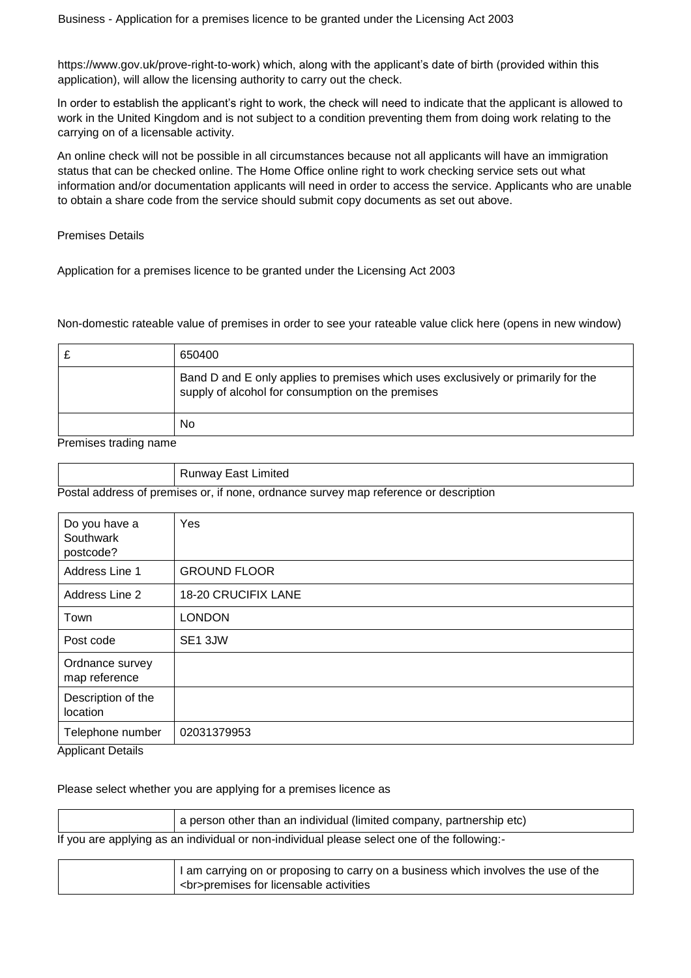https://www.gov.uk/prove-right-to-work) which, along with the applicant's date of birth (provided within this application), will allow the licensing authority to carry out the check.

In order to establish the applicant's right to work, the check will need to indicate that the applicant is allowed to work in the United Kingdom and is not subject to a condition preventing them from doing work relating to the carrying on of a licensable activity.

An online check will not be possible in all circumstances because not all applicants will have an immigration status that can be checked online. The Home Office online right to work checking service sets out what information and/or documentation applicants will need in order to access the service. Applicants who are unable to obtain a share code from the service should submit copy documents as set out above.

Premises Details

Application for a premises licence to be granted under the Licensing Act 2003

Non-domestic rateable value of premises in order to see your rateable value click here (opens in new window)

| 650400                                                                                                                                 |
|----------------------------------------------------------------------------------------------------------------------------------------|
| Band D and E only applies to premises which uses exclusively or primarily for the<br>supply of alcohol for consumption on the premises |
| No.                                                                                                                                    |

Premises trading name

| Runway East Limited                                                                  |
|--------------------------------------------------------------------------------------|
| Postal address of premises or, if none, ordnance survey map reference or description |

| Do you have a<br>Southwark<br>postcode?                                                                     | Yes                        |
|-------------------------------------------------------------------------------------------------------------|----------------------------|
| Address Line 1                                                                                              | <b>GROUND FLOOR</b>        |
| Address Line 2                                                                                              | <b>18-20 CRUCIFIX LANE</b> |
| Town                                                                                                        | <b>LONDON</b>              |
| Post code                                                                                                   | SE1 3JW                    |
| Ordnance survey<br>map reference                                                                            |                            |
| Description of the<br>location                                                                              |                            |
| Telephone number<br>$\mathbf{A}$ and $\mathbf{B}$ are as a set $\mathbf{B}$ and $\mathbf{B}$ are as the set | 02031379953                |

Applicant Details

Please select whether you are applying for a premises licence as

|                                                                                             | a person other than an individual (limited company, partnership etc) |
|---------------------------------------------------------------------------------------------|----------------------------------------------------------------------|
| If you are applying as an individual or non-individual please select one of the following:- |                                                                      |

| I am carrying on or proposing to carry on a business which involves the use of the<br>str>premises for licensable activities |  |
|------------------------------------------------------------------------------------------------------------------------------|--|
|------------------------------------------------------------------------------------------------------------------------------|--|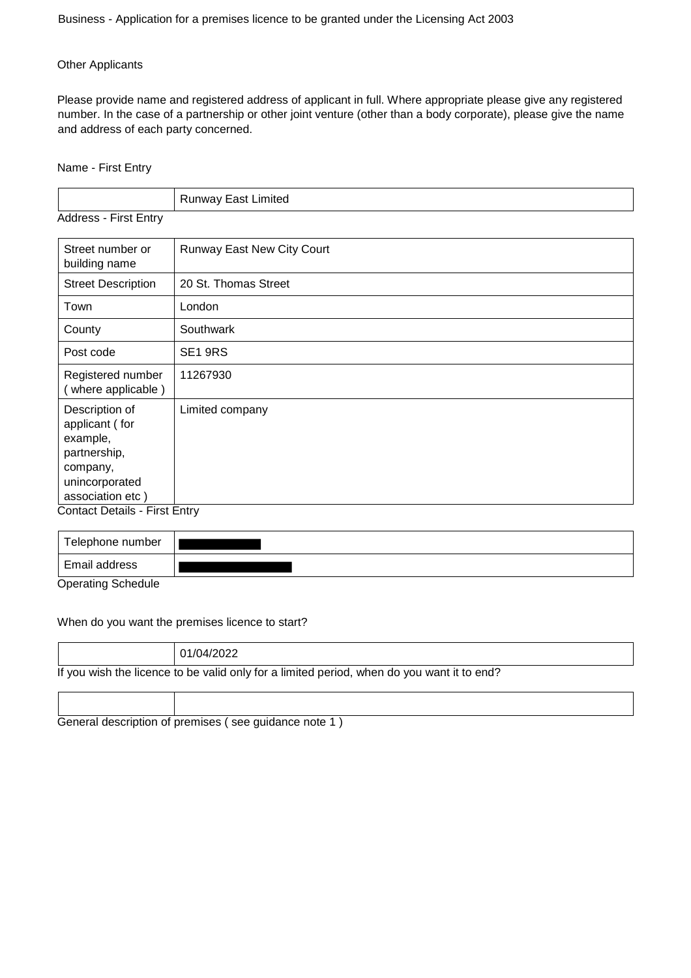## Other Applicants

Please provide name and registered address of applicant in full. Where appropriate please give any registered number. In the case of a partnership or other joint venture (other than a body corporate), please give the name and address of each party concerned.

#### Name - First Entry

|                                                                                                                | <b>Runway East Limited</b> |
|----------------------------------------------------------------------------------------------------------------|----------------------------|
| <b>Address - First Entry</b>                                                                                   |                            |
| Street number or<br>building name                                                                              | Runway East New City Court |
| <b>Street Description</b>                                                                                      | 20 St. Thomas Street       |
| Town                                                                                                           | London                     |
| County                                                                                                         | Southwark                  |
| Post code                                                                                                      | SE <sub>1</sub> 9RS        |
| Registered number<br>where applicable)                                                                         | 11267930                   |
| Description of<br>applicant (for<br>example,<br>partnership,<br>company,<br>unincorporated<br>association etc) | Limited company            |
| <b>Contact Details - First Entry</b>                                                                           |                            |

| Telephone number   |  |
|--------------------|--|
| ⊩Email address     |  |
| Operating Schodule |  |

Operating Schedule

| When do you want the premises licence to start? |  |  |  |  |
|-------------------------------------------------|--|--|--|--|
|-------------------------------------------------|--|--|--|--|

|                                                                                            | 01/04/2022 |  |
|--------------------------------------------------------------------------------------------|------------|--|
| If you wish the licence to be valid only for a limited period, when do you want it to end? |            |  |
|                                                                                            |            |  |
|                                                                                            |            |  |

General description of premises ( see guidance note 1 )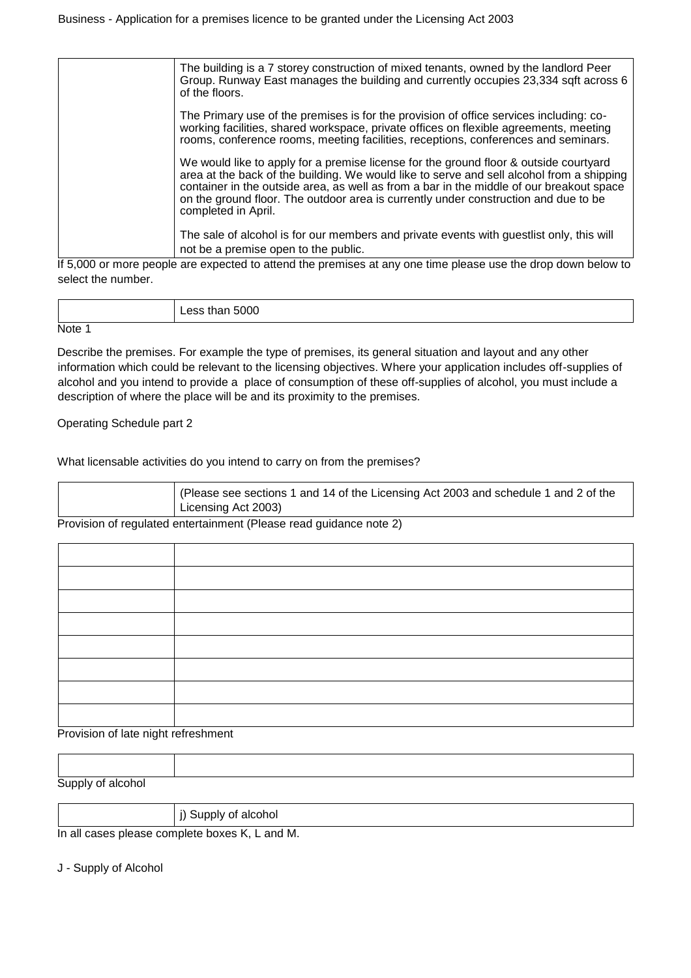|                     | The building is a 7 storey construction of mixed tenants, owned by the landlord Peer<br>Group. Runway East manages the building and currently occupies 23,334 sqft across 6<br>of the floors.                                                                                                                                                                                                |
|---------------------|----------------------------------------------------------------------------------------------------------------------------------------------------------------------------------------------------------------------------------------------------------------------------------------------------------------------------------------------------------------------------------------------|
|                     | The Primary use of the premises is for the provision of office services including: co-<br>working facilities, shared workspace, private offices on flexible agreements, meeting<br>rooms, conference rooms, meeting facilities, receptions, conferences and seminars.                                                                                                                        |
|                     | We would like to apply for a premise license for the ground floor & outside courtyard<br>area at the back of the building. We would like to serve and sell alcohol from a shipping<br>container in the outside area, as well as from a bar in the middle of our breakout space<br>on the ground floor. The outdoor area is currently under construction and due to be<br>completed in April. |
|                     | The sale of alcohol is for our members and private events with guestlist only, this will<br>not be a premise open to the public.                                                                                                                                                                                                                                                             |
| $\mathbf{r}$ = 0.00 | $\mathbf{r}$ , and the set of the set of the set of the set of the set of the set of the set of the set of the set of the set of the set of the set of the set of the set of the set of the set of the set of the set of the set                                                                                                                                                             |

If 5,000 or more people are expected to attend the premises at any one time please use the drop down below to select the number.

|        | 5000<br>thar<br>Less |
|--------|----------------------|
| Note 1 |                      |

Describe the premises. For example the type of premises, its general situation and layout and any other information which could be relevant to the licensing objectives. Where your application includes off-supplies of alcohol and you intend to provide a place of consumption of these off-supplies of alcohol, you must include a description of where the place will be and its proximity to the premises.

Operating Schedule part 2

What licensable activities do you intend to carry on from the premises?

|                                                                           | (Please see sections 1 and 14 of the Licensing Act 2003 and schedule 1 and 2 of the<br>Licensing Act 2003) |
|---------------------------------------------------------------------------|------------------------------------------------------------------------------------------------------------|
| <b>Provision of requisted entertainment (Please read quidance note 2)</b> |                                                                                                            |

Provision of regulated entertainment (Please read guidance note 2)

Provision of late night refreshment

Supply of alcohol

j) Supply of alcohol

In all cases please complete boxes K, L and M.

J - Supply of Alcohol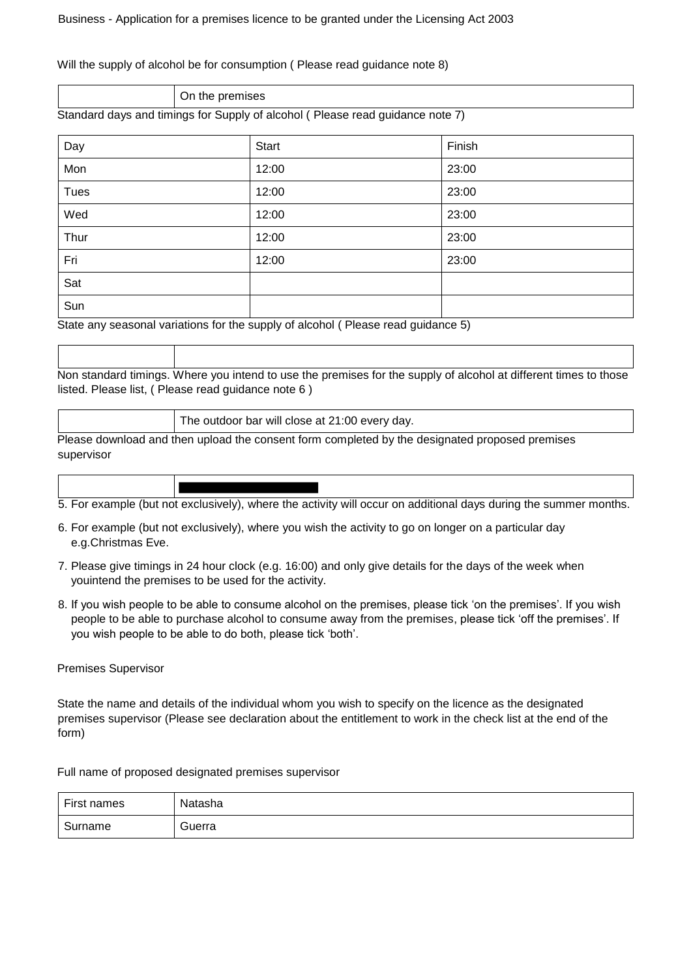### Will the supply of alcohol be for consumption (Please read guidance note 8)

|                                                                               | On the premises |
|-------------------------------------------------------------------------------|-----------------|
| Standard days and timings for Supply of alcohol (Please read guidance note 7) |                 |

| Day  | Start | Finish |
|------|-------|--------|
| Mon  | 12:00 | 23:00  |
| Tues | 12:00 | 23:00  |
| Wed  | 12:00 | 23:00  |
| Thur | 12:00 | 23:00  |
| Fri  | 12:00 | 23:00  |
| Sat  |       |        |
| Sun  |       |        |

State any seasonal variations for the supply of alcohol ( Please read guidance 5)

# Non standard timings. Where you intend to use the premises for the supply of alcohol at different times to those listed. Please list, ( Please read guidance note 6 )

The outdoor bar will close at 21:00 every day.

Please download and then upload the consent form completed by the designated proposed premises supervisor

5. For example (but not exclusively), where the activity will occur on additional days during the summer months.

- 6. For example (but not exclusively), where you wish the activity to go on longer on a particular day e.g.Christmas Eve.
- 7. Please give timings in 24 hour clock (e.g. 16:00) and only give details for the days of the week when youintend the premises to be used for the activity.
- 8. If you wish people to be able to consume alcohol on the premises, please tick 'on the premises'. If you wish people to be able to purchase alcohol to consume away from the premises, please tick 'off the premises'. If you wish people to be able to do both, please tick 'both'.

Premises Supervisor

State the name and details of the individual whom you wish to specify on the licence as the designated premises supervisor (Please see declaration about the entitlement to work in the check list at the end of the form)

Full name of proposed designated premises supervisor

| First names | Natasha |
|-------------|---------|
| Surname     | Guerra  |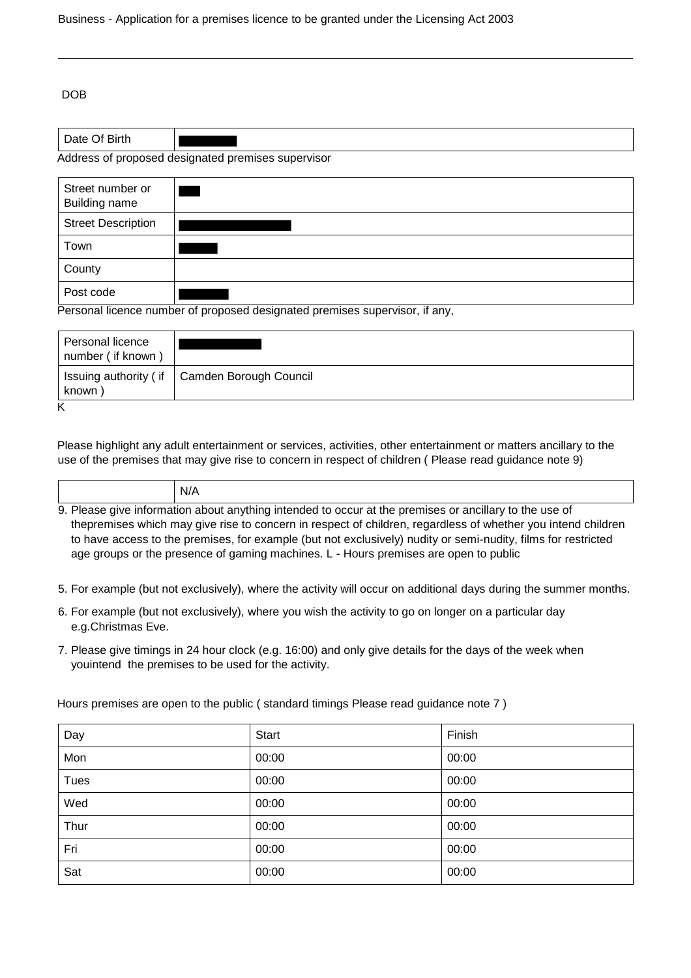DOB

| <sup>1</sup> Date Of Birth                         |  |  |
|----------------------------------------------------|--|--|
| Address of proposed designated premises supervisor |  |  |

| Street number or<br><b>Building name</b> |  |
|------------------------------------------|--|
| <b>Street Description</b>                |  |
| Town                                     |  |
| County                                   |  |
| Post code                                |  |

Personal licence number of proposed designated premises supervisor, if any,

| Personal licence<br>number (if known) |                                                |
|---------------------------------------|------------------------------------------------|
| known)                                | Issuing authority (if   Camden Borough Council |
| Κ                                     |                                                |

Please highlight any adult entertainment or services, activities, other entertainment or matters ancillary to the use of the premises that may give rise to concern in respect of children ( Please read guidance note 9)

|                                                                                                        | N/A                                                                                                          |  |
|--------------------------------------------------------------------------------------------------------|--------------------------------------------------------------------------------------------------------------|--|
| 9. Please give information about anything intended to occur at the premises or ancillary to the use of |                                                                                                              |  |
|                                                                                                        | theoremises which may give rise to concern in respect of children, regardless of whether you intend children |  |

- thepremises which may give rise to concern in respect of children, regardless of whether you intend children to have access to the premises, for example (but not exclusively) nudity or semi-nudity, films for restricted age groups or the presence of gaming machines. L - Hours premises are open to public
- 5. For example (but not exclusively), where the activity will occur on additional days during the summer months.
- 6. For example (but not exclusively), where you wish the activity to go on longer on a particular day e.g.Christmas Eve.
- 7. Please give timings in 24 hour clock (e.g. 16:00) and only give details for the days of the week when youintend the premises to be used for the activity.

Hours premises are open to the public ( standard timings Please read guidance note 7 )

| Day         | Start | Finish |
|-------------|-------|--------|
|             |       |        |
| Mon         | 00:00 | 00:00  |
| <b>Tues</b> | 00:00 | 00:00  |
| Wed         | 00:00 | 00:00  |
| Thur        | 00:00 | 00:00  |
| Fri         | 00:00 | 00:00  |
| Sat         | 00:00 | 00:00  |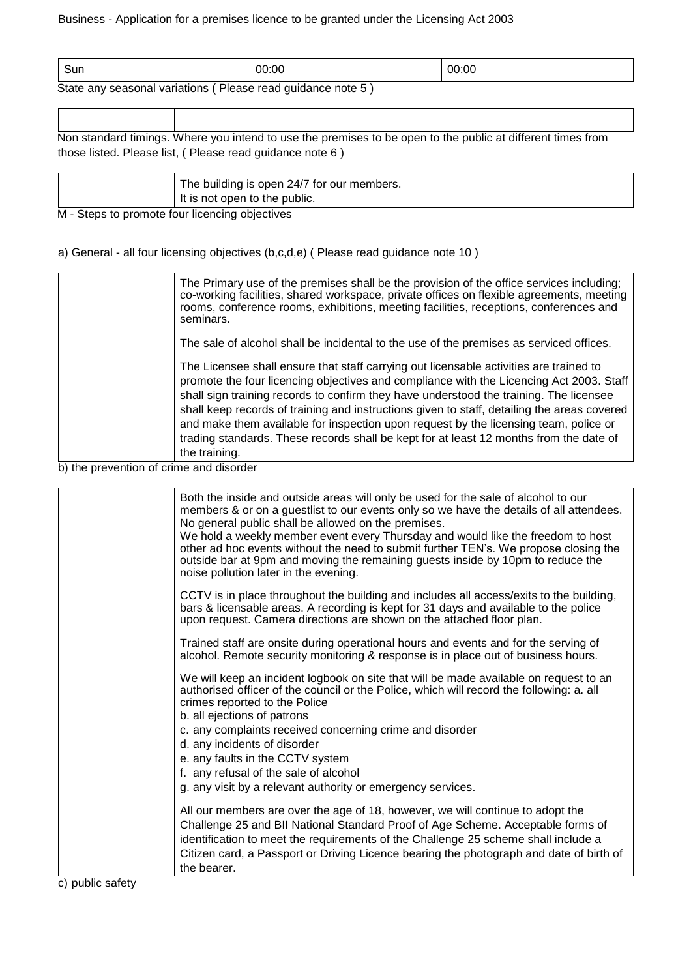| Sun                                                                                                                                                                     | 00:00 | 00:00 |
|-------------------------------------------------------------------------------------------------------------------------------------------------------------------------|-------|-------|
| State any seasonal variations (Please read guidance note 5)                                                                                                             |       |       |
|                                                                                                                                                                         |       |       |
| Non standard timings. Where you intend to use the premises to be open to the public at different times from<br>those listed. Please list, (Please read guidance note 6) |       |       |

|                                                | The building is open 24/7 for our members.<br>It is not open to the public. |
|------------------------------------------------|-----------------------------------------------------------------------------|
| M - Stane to promota four licancing objectives |                                                                             |

M - Steps to promote four licencing objectives

a) General - all four licensing objectives (b,c,d,e) ( Please read guidance note 10 )

| The Primary use of the premises shall be the provision of the office services including;<br>co-working facilities, shared workspace, private offices on flexible agreements, meeting<br>rooms, conference rooms, exhibitions, meeting facilities, receptions, conferences and<br>seminars.                                                                                                                                                                                                                                                                                    |
|-------------------------------------------------------------------------------------------------------------------------------------------------------------------------------------------------------------------------------------------------------------------------------------------------------------------------------------------------------------------------------------------------------------------------------------------------------------------------------------------------------------------------------------------------------------------------------|
| The sale of alcohol shall be incidental to the use of the premises as serviced offices.                                                                                                                                                                                                                                                                                                                                                                                                                                                                                       |
| The Licensee shall ensure that staff carrying out licensable activities are trained to<br>promote the four licencing objectives and compliance with the Licencing Act 2003. Staff<br>shall sign training records to confirm they have understood the training. The licensee<br>shall keep records of training and instructions given to staff, detailing the areas covered<br>and make them available for inspection upon request by the licensing team, police or<br>trading standards. These records shall be kept for at least 12 months from the date of<br>the training. |

b) the prevention of crime and disorder

| Both the inside and outside areas will only be used for the sale of alcohol to our<br>members & or on a guestlist to our events only so we have the details of all attendees.<br>No general public shall be allowed on the premises.<br>We hold a weekly member event every Thursday and would like the freedom to host<br>other ad hoc events without the need to submit further TEN's. We propose closing the<br>outside bar at 9pm and moving the remaining guests inside by 10pm to reduce the<br>noise pollution later in the evening. |
|---------------------------------------------------------------------------------------------------------------------------------------------------------------------------------------------------------------------------------------------------------------------------------------------------------------------------------------------------------------------------------------------------------------------------------------------------------------------------------------------------------------------------------------------|
| CCTV is in place throughout the building and includes all access/exits to the building,<br>bars & licensable areas. A recording is kept for 31 days and available to the police<br>upon request. Camera directions are shown on the attached floor plan.                                                                                                                                                                                                                                                                                    |
| Trained staff are onsite during operational hours and events and for the serving of<br>alcohol. Remote security monitoring & response is in place out of business hours.                                                                                                                                                                                                                                                                                                                                                                    |
| We will keep an incident logbook on site that will be made available on request to an<br>authorised officer of the council or the Police, which will record the following: a. all<br>crimes reported to the Police<br>b. all ejections of patrons<br>c. any complaints received concerning crime and disorder                                                                                                                                                                                                                               |
| d. any incidents of disorder                                                                                                                                                                                                                                                                                                                                                                                                                                                                                                                |
| e. any faults in the CCTV system<br>f. any refusal of the sale of alcohol                                                                                                                                                                                                                                                                                                                                                                                                                                                                   |
| g. any visit by a relevant authority or emergency services.                                                                                                                                                                                                                                                                                                                                                                                                                                                                                 |
| All our members are over the age of 18, however, we will continue to adopt the<br>Challenge 25 and BII National Standard Proof of Age Scheme. Acceptable forms of<br>identification to meet the requirements of the Challenge 25 scheme shall include a<br>Citizen card, a Passport or Driving Licence bearing the photograph and date of birth of<br>the bearer.                                                                                                                                                                           |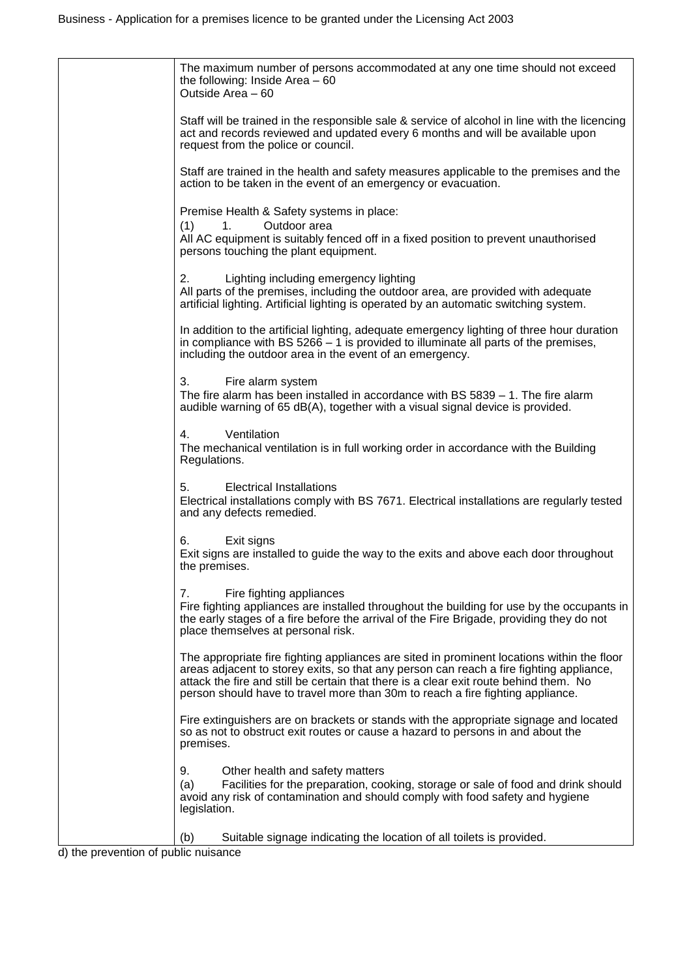|                                      | The maximum number of persons accommodated at any one time should not exceed<br>the following: Inside Area $-60$<br>Outside Area - 60                                                                                                                                                                                                                            |
|--------------------------------------|------------------------------------------------------------------------------------------------------------------------------------------------------------------------------------------------------------------------------------------------------------------------------------------------------------------------------------------------------------------|
|                                      | Staff will be trained in the responsible sale & service of alcohol in line with the licencing<br>act and records reviewed and updated every 6 months and will be available upon<br>request from the police or council.                                                                                                                                           |
|                                      | Staff are trained in the health and safety measures applicable to the premises and the<br>action to be taken in the event of an emergency or evacuation.                                                                                                                                                                                                         |
|                                      | Premise Health & Safety systems in place:<br>(1)<br>$\mathbf{1}$ .<br>Outdoor area<br>All AC equipment is suitably fenced off in a fixed position to prevent unauthorised<br>persons touching the plant equipment.                                                                                                                                               |
|                                      | 2.<br>Lighting including emergency lighting<br>All parts of the premises, including the outdoor area, are provided with adequate<br>artificial lighting. Artificial lighting is operated by an automatic switching system.                                                                                                                                       |
|                                      | In addition to the artificial lighting, adequate emergency lighting of three hour duration<br>in compliance with BS $5266 - 1$ is provided to illuminate all parts of the premises,<br>including the outdoor area in the event of an emergency.                                                                                                                  |
|                                      | 3.<br>Fire alarm system<br>The fire alarm has been installed in accordance with BS 5839 - 1. The fire alarm<br>audible warning of 65 dB(A), together with a visual signal device is provided.                                                                                                                                                                    |
|                                      | 4.<br>Ventilation<br>The mechanical ventilation is in full working order in accordance with the Building<br>Regulations.                                                                                                                                                                                                                                         |
|                                      | <b>Electrical Installations</b><br>5.<br>Electrical installations comply with BS 7671. Electrical installations are regularly tested<br>and any defects remedied.                                                                                                                                                                                                |
|                                      | 6.<br>Exit signs<br>Exit signs are installed to guide the way to the exits and above each door throughout<br>the premises.                                                                                                                                                                                                                                       |
|                                      | Fire fighting appliances<br>7.<br>Fire fighting appliances are installed throughout the building for use by the occupants in<br>the early stages of a fire before the arrival of the Fire Brigade, providing they do not<br>place themselves at personal risk.                                                                                                   |
|                                      | The appropriate fire fighting appliances are sited in prominent locations within the floor<br>areas adjacent to storey exits, so that any person can reach a fire fighting appliance,<br>attack the fire and still be certain that there is a clear exit route behind them. No<br>person should have to travel more than 30m to reach a fire fighting appliance. |
|                                      | Fire extinguishers are on brackets or stands with the appropriate signage and located<br>so as not to obstruct exit routes or cause a hazard to persons in and about the<br>premises.                                                                                                                                                                            |
|                                      | Other health and safety matters<br>9.<br>Facilities for the preparation, cooking, storage or sale of food and drink should<br>(a)<br>avoid any risk of contamination and should comply with food safety and hygiene<br>legislation.                                                                                                                              |
| d) the provention of public puisones | Suitable signage indicating the location of all toilets is provided.<br>(b)                                                                                                                                                                                                                                                                                      |
|                                      |                                                                                                                                                                                                                                                                                                                                                                  |

d) the prevention of public nuisance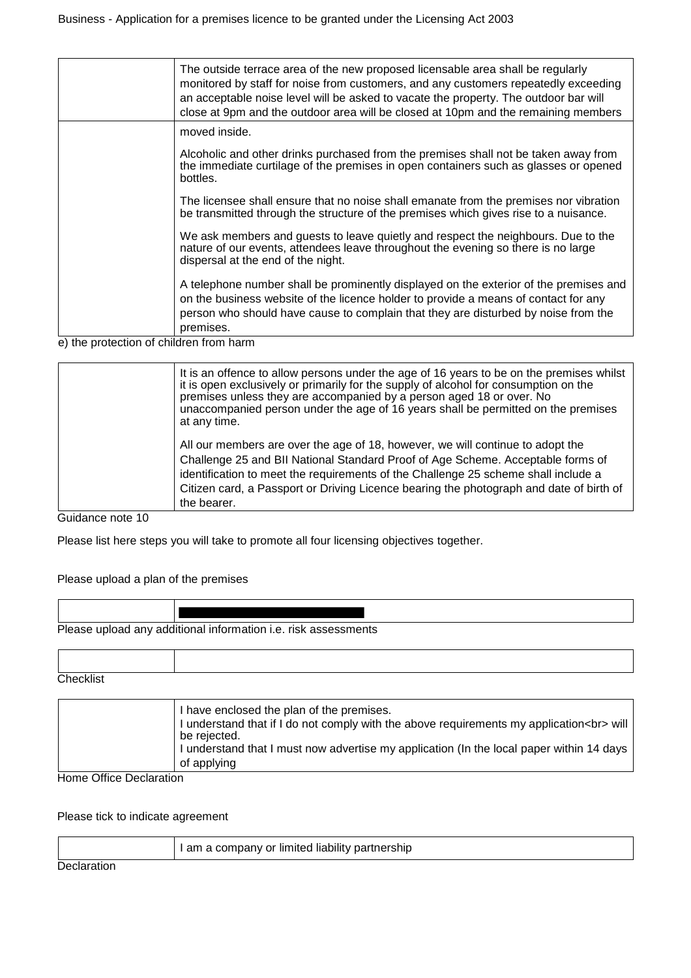| The outside terrace area of the new proposed licensable area shall be regularly<br>monitored by staff for noise from customers, and any customers repeatedly exceeding<br>an acceptable noise level will be asked to vacate the property. The outdoor bar will<br>close at 9pm and the outdoor area will be closed at 10pm and the remaining members |
|------------------------------------------------------------------------------------------------------------------------------------------------------------------------------------------------------------------------------------------------------------------------------------------------------------------------------------------------------|
| moved inside.                                                                                                                                                                                                                                                                                                                                        |
| Alcoholic and other drinks purchased from the premises shall not be taken away from<br>the immediate curtilage of the premises in open containers such as glasses or opened<br>bottles.                                                                                                                                                              |
| The licensee shall ensure that no noise shall emanate from the premises nor vibration<br>be transmitted through the structure of the premises which gives rise to a nuisance.                                                                                                                                                                        |
| We ask members and guests to leave quietly and respect the neighbours. Due to the<br>nature of our events, attendees leave throughout the evening so there is no large<br>dispersal at the end of the night.                                                                                                                                         |
| A telephone number shall be prominently displayed on the exterior of the premises and<br>on the business website of the licence holder to provide a means of contact for any<br>person who should have cause to complain that they are disturbed by noise from the<br>premises.                                                                      |

e) the protection of children from harm

| It is an offence to allow persons under the age of 16 years to be on the premises whilst<br>it is open exclusively or primarily for the supply of alcohol for consumption on the<br>premises unless they are accompanied by a person aged 18 or over. No<br>unaccompanied person under the age of 16 years shall be permitted on the premises<br>at any time.     |
|-------------------------------------------------------------------------------------------------------------------------------------------------------------------------------------------------------------------------------------------------------------------------------------------------------------------------------------------------------------------|
| All our members are over the age of 18, however, we will continue to adopt the<br>Challenge 25 and BII National Standard Proof of Age Scheme. Acceptable forms of<br>identification to meet the requirements of the Challenge 25 scheme shall include a<br>Citizen card, a Passport or Driving Licence bearing the photograph and date of birth of<br>the bearer. |

Guidance note 10

Please list here steps you will take to promote all four licensing objectives together.

# Please upload a plan of the premises

| Please upload any additional information i.e. risk assessments |
|----------------------------------------------------------------|

**Checklist** 

| I have enclosed the plan of the premises.<br>I understand that if I do not comply with the above requirements my application<br>>br> will<br>be rejected.<br>I understand that I must now advertise my application (In the local paper within 14 days<br>of applying |
|----------------------------------------------------------------------------------------------------------------------------------------------------------------------------------------------------------------------------------------------------------------------|
|----------------------------------------------------------------------------------------------------------------------------------------------------------------------------------------------------------------------------------------------------------------------|

Home Office Declaration

# Please tick to indicate agreement

| I am a company or limited liability partnership |
|-------------------------------------------------|
|                                                 |

**Declaration**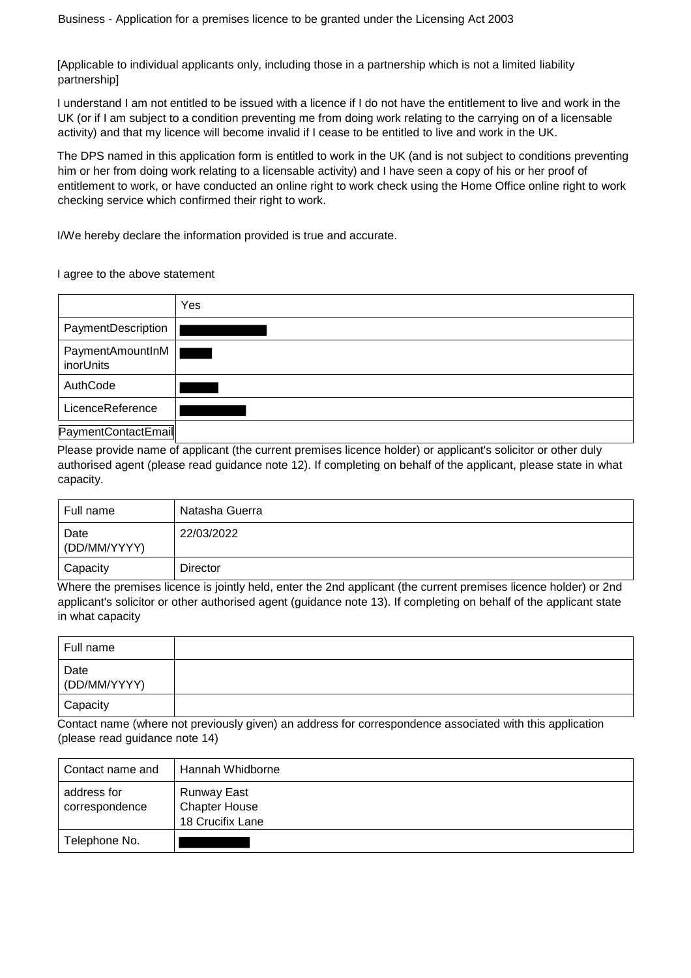[Applicable to individual applicants only, including those in a partnership which is not a limited liability partnership]

I understand I am not entitled to be issued with a licence if I do not have the entitlement to live and work in the UK (or if I am subject to a condition preventing me from doing work relating to the carrying on of a licensable activity) and that my licence will become invalid if I cease to be entitled to live and work in the UK.

The DPS named in this application form is entitled to work in the UK (and is not subject to conditions preventing him or her from doing work relating to a licensable activity) and I have seen a copy of his or her proof of entitlement to work, or have conducted an online right to work check using the Home Office online right to work checking service which confirmed their right to work.

I/We hereby declare the information provided is true and accurate.

I agree to the above statement

|                               | Yes |
|-------------------------------|-----|
| PaymentDescription            |     |
| PaymentAmountInM<br>inorUnits |     |
| AuthCode                      |     |
| LicenceReference              |     |
| PaymentContactEmail           |     |

Please provide name of applicant (the current premises licence holder) or applicant's solicitor or other duly authorised agent (please read guidance note 12). If completing on behalf of the applicant, please state in what capacity.

| Full name            | Natasha Guerra |
|----------------------|----------------|
| Date<br>(DD/MM/YYYY) | 22/03/2022     |
| Capacity             | Director       |

Where the premises licence is jointly held, enter the 2nd applicant (the current premises licence holder) or 2nd applicant's solicitor or other authorised agent (guidance note 13). If completing on behalf of the applicant state in what capacity

| Full name            |  |
|----------------------|--|
| Date<br>(DD/MM/YYYY) |  |
| Capacity             |  |

Contact name (where not previously given) an address for correspondence associated with this application (please read guidance note 14)

| Contact name and              | Hannah Whidborne                                        |
|-------------------------------|---------------------------------------------------------|
| address for<br>correspondence | Runway East<br><b>Chapter House</b><br>18 Crucifix Lane |
| Telephone No.                 |                                                         |